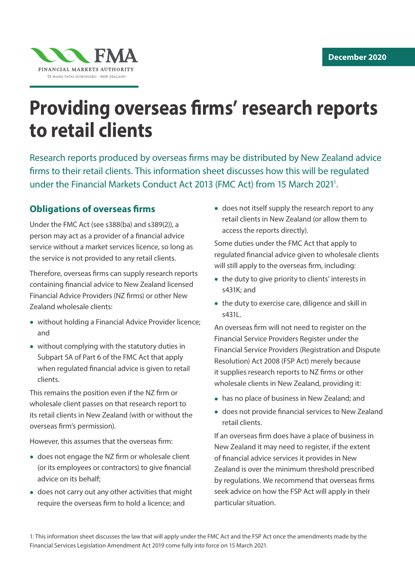

# **Providing overseas firms' research reports to retail clients**

Research reports produced by overseas firms may be distributed by New Zealand advice firms to their retail clients. This information sheet discusses how this will be regulated under the Financial Markets Conduct Act 2013 (FMC Act) from 15 March 2021<sup>1</sup>.

# **Obligations of overseas firms**

Under the FMC Act (see s388(ba) and s389(2)), a person may act as a provider of a financial advice service without a market services licence, so long as the service is not provided to any retail clients.

Therefore, overseas firms can supply research reports containing financial advice to New Zealand licensed Financial Advice Providers (NZ firms) or other New Zealand wholesale clients:

- without holding a Financial Advice Provider licence; and
- without complying with the statutory duties in Subpart 5A of Part 6 of the FMC Act that apply when regulated financial advice is given to retail clients.

This remains the position even if the NZ firm or wholesale client passes on that research report to its retail clients in New Zealand (with or without the overseas firm's permission).

However, this assumes that the overseas firm:

- does not engage the NZ firm or wholesale client (or its employees or contractors) to give financial advice on its behalf;
- does not carry out any other activities that might require the overseas firm to hold a licence; and

• does not itself supply the research report to any retail clients in New Zealand (or allow them to access the reports directly).

Some duties under the FMC Act that apply to regulated financial advice given to wholesale clients will still apply to the overseas firm, including:

- the duty to give priority to clients' interests in s431K; and
- the duty to exercise care, diligence and skill in s431L.

An overseas firm will not need to register on the Financial Service Providers Register under the Financial Service Providers (Registration and Dispute Resolution) Act 2008 (FSP Act) merely because it supplies research reports to NZ firms or other wholesale clients in New Zealand, providing it:

- has no place of business in New Zealand; and
- does not provide financial services to New Zealand retail clients.

If an overseas firm does have a place of business in New Zealand it may need to register, if the extent of financial advice services it provides in New Zealand is over the minimum threshold prescribed by regulations. We recommend that overseas firms seek advice on how the FSP Act will apply in their particular situation.

1: This information sheet discusses the law that will apply under the FMC Act and the FSP Act once the amendments made by the Financial Services Legislation Amendment Act 2019 come fully into force on 15 March 2021.